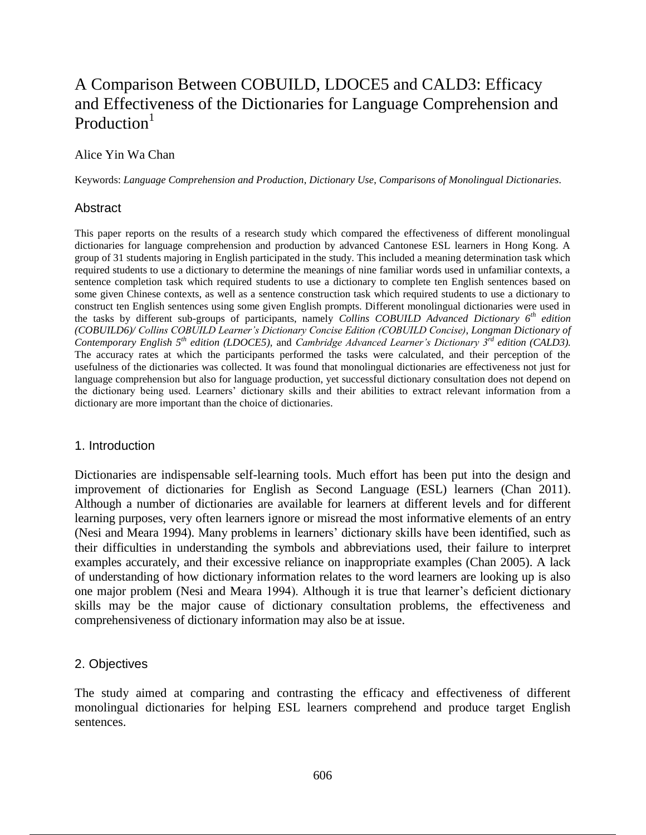# A Comparison Between COBUILD, LDOCE5 and CALD3: Efficacy and Effectiveness of the Dictionaries for Language Comprehension and Production<sup>1</sup>

## Alice Yin Wa Chan

Keywords: *Language Comprehension and Production*, *Dictionary Use*, *Comparisons of Monolingual Dictionaries*.

## Abstract

This paper reports on the results of a research study which compared the effectiveness of different monolingual dictionaries for language comprehension and production by advanced Cantonese ESL learners in Hong Kong. A group of 31 students majoring in English participated in the study. This included a meaning determination task which required students to use a dictionary to determine the meanings of nine familiar words used in unfamiliar contexts, a sentence completion task which required students to use a dictionary to complete ten English sentences based on some given Chinese contexts, as well as a sentence construction task which required students to use a dictionary to construct ten English sentences using some given English prompts. Different monolingual dictionaries were used in the tasks by different sub-groups of participants, namely *Collins COBUILD Advanced Dictionary 6th edition (COBUILD6)/ Collins COBUILD Learner's Dictionary Concise Edition (COBUILD Concise)*, *Longman Dictionary of Contemporary English 5th edition (LDOCE5),* and *Cambridge Advanced Learner's Dictionary 3rd edition (CALD3).*  The accuracy rates at which the participants performed the tasks were calculated, and their perception of the usefulness of the dictionaries was collected. It was found that monolingual dictionaries are effectiveness not just for language comprehension but also for language production, yet successful dictionary consultation does not depend on the dictionary being used. Learners' dictionary skills and their abilities to extract relevant information from a dictionary are more important than the choice of dictionaries.

## 1. Introduction

Dictionaries are indispensable self-learning tools. Much effort has been put into the design and improvement of dictionaries for English as Second Language (ESL) learners (Chan 2011). Although a number of dictionaries are available for learners at different levels and for different learning purposes, very often learners ignore or misread the most informative elements of an entry (Nesi and Meara 1994). Many problems in learners' dictionary skills have been identified, such as their difficulties in understanding the symbols and abbreviations used, their failure to interpret examples accurately, and their excessive reliance on inappropriate examples (Chan 2005). A lack of understanding of how dictionary information relates to the word learners are looking up is also one major problem (Nesi and Meara 1994). Although it is true that learner's deficient dictionary skills may be the major cause of dictionary consultation problems, the effectiveness and comprehensiveness of dictionary information may also be at issue.

## 2. Objectives

The study aimed at comparing and contrasting the efficacy and effectiveness of different monolingual dictionaries for helping ESL learners comprehend and produce target English sentences.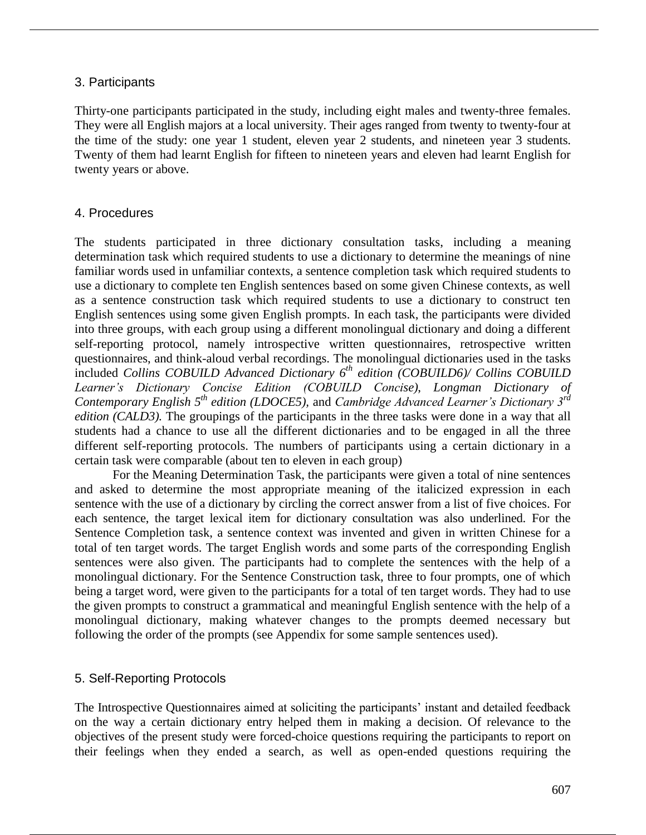## 3. Participants

Thirty-one participants participated in the study, including eight males and twenty-three females. They were all English majors at a local university. Their ages ranged from twenty to twenty-four at the time of the study: one year 1 student, eleven year 2 students, and nineteen year 3 students. Twenty of them had learnt English for fifteen to nineteen years and eleven had learnt English for twenty years or above.

## 4. Procedures

The students participated in three dictionary consultation tasks, including a meaning determination task which required students to use a dictionary to determine the meanings of nine familiar words used in unfamiliar contexts, a sentence completion task which required students to use a dictionary to complete ten English sentences based on some given Chinese contexts, as well as a sentence construction task which required students to use a dictionary to construct ten English sentences using some given English prompts. In each task, the participants were divided into three groups, with each group using a different monolingual dictionary and doing a different self-reporting protocol, namely introspective written questionnaires, retrospective written questionnaires, and think-aloud verbal recordings. The monolingual dictionaries used in the tasks included *Collins COBUILD Advanced Dictionary 6th edition (COBUILD6)/ Collins COBUILD Learner's Dictionary Concise Edition (COBUILD Concise)*, *Longman Dictionary of Contemporary English 5th edition (LDOCE5),* and *Cambridge Advanced Learner's Dictionary 3rd edition (CALD3)*. The groupings of the participants in the three tasks were done in a way that all students had a chance to use all the different dictionaries and to be engaged in all the three different self-reporting protocols. The numbers of participants using a certain dictionary in a certain task were comparable (about ten to eleven in each group)

For the Meaning Determination Task, the participants were given a total of nine sentences and asked to determine the most appropriate meaning of the italicized expression in each sentence with the use of a dictionary by circling the correct answer from a list of five choices. For each sentence, the target lexical item for dictionary consultation was also underlined. For the Sentence Completion task, a sentence context was invented and given in written Chinese for a total of ten target words. The target English words and some parts of the corresponding English sentences were also given. The participants had to complete the sentences with the help of a monolingual dictionary. For the Sentence Construction task, three to four prompts, one of which being a target word, were given to the participants for a total of ten target words. They had to use the given prompts to construct a grammatical and meaningful English sentence with the help of a monolingual dictionary, making whatever changes to the prompts deemed necessary but following the order of the prompts (see Appendix for some sample sentences used).

# 5. Self-Reporting Protocols

The Introspective Questionnaires aimed at soliciting the participants' instant and detailed feedback on the way a certain dictionary entry helped them in making a decision. Of relevance to the objectives of the present study were forced-choice questions requiring the participants to report on their feelings when they ended a search, as well as open-ended questions requiring the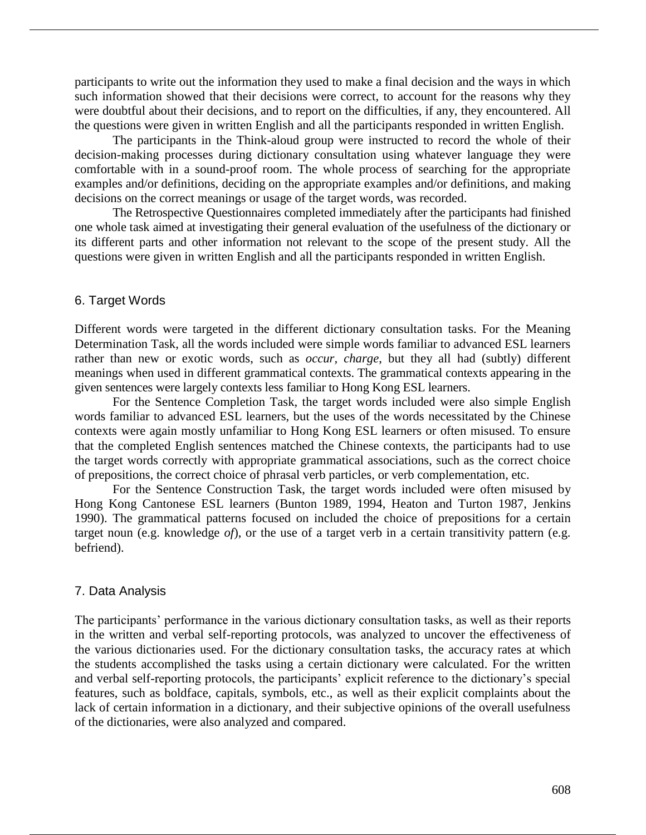participants to write out the information they used to make a final decision and the ways in which such information showed that their decisions were correct, to account for the reasons why they were doubtful about their decisions, and to report on the difficulties, if any, they encountered. All the questions were given in written English and all the participants responded in written English.

The participants in the Think-aloud group were instructed to record the whole of their decision-making processes during dictionary consultation using whatever language they were comfortable with in a sound-proof room. The whole process of searching for the appropriate examples and/or definitions, deciding on the appropriate examples and/or definitions, and making decisions on the correct meanings or usage of the target words, was recorded.

The Retrospective Questionnaires completed immediately after the participants had finished one whole task aimed at investigating their general evaluation of the usefulness of the dictionary or its different parts and other information not relevant to the scope of the present study. All the questions were given in written English and all the participants responded in written English.

## 6. Target Words

Different words were targeted in the different dictionary consultation tasks. For the Meaning Determination Task, all the words included were simple words familiar to advanced ESL learners rather than new or exotic words, such as *occur, charge*, but they all had (subtly) different meanings when used in different grammatical contexts. The grammatical contexts appearing in the given sentences were largely contexts less familiar to Hong Kong ESL learners.

For the Sentence Completion Task, the target words included were also simple English words familiar to advanced ESL learners, but the uses of the words necessitated by the Chinese contexts were again mostly unfamiliar to Hong Kong ESL learners or often misused. To ensure that the completed English sentences matched the Chinese contexts, the participants had to use the target words correctly with appropriate grammatical associations, such as the correct choice of prepositions, the correct choice of phrasal verb particles, or verb complementation, etc.

For the Sentence Construction Task, the target words included were often misused by Hong Kong Cantonese ESL learners (Bunton 1989, 1994, Heaton and Turton 1987, Jenkins 1990). The grammatical patterns focused on included the choice of prepositions for a certain target noun (e.g. knowledge *of*), or the use of a target verb in a certain transitivity pattern (e.g. befriend).

## 7. Data Analysis

The participants' performance in the various dictionary consultation tasks, as well as their reports in the written and verbal self-reporting protocols, was analyzed to uncover the effectiveness of the various dictionaries used. For the dictionary consultation tasks, the accuracy rates at which the students accomplished the tasks using a certain dictionary were calculated. For the written and verbal self-reporting protocols, the participants' explicit reference to the dictionary's special features, such as boldface, capitals, symbols, etc., as well as their explicit complaints about the lack of certain information in a dictionary, and their subjective opinions of the overall usefulness of the dictionaries, were also analyzed and compared.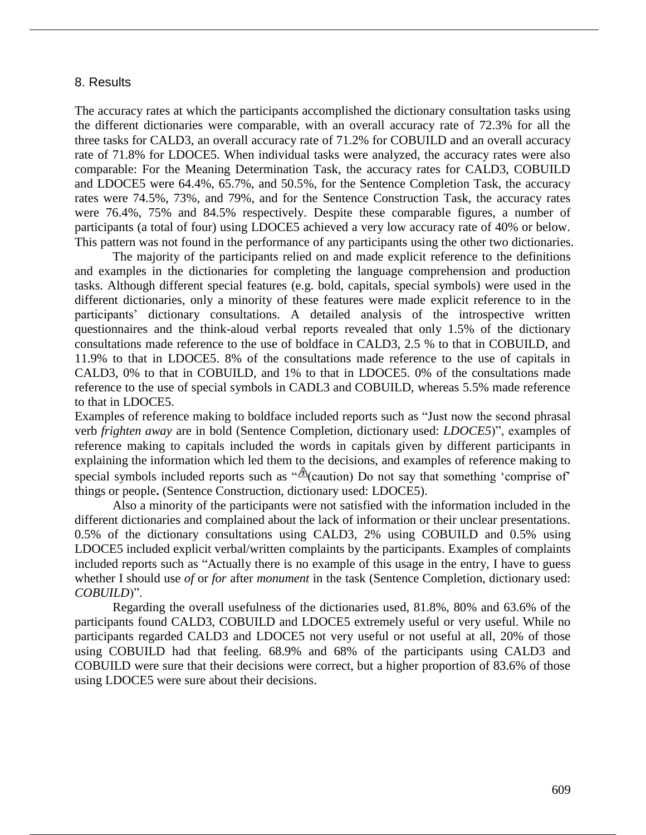#### 8. Results

The accuracy rates at which the participants accomplished the dictionary consultation tasks using the different dictionaries were comparable, with an overall accuracy rate of 72.3% for all the three tasks for CALD3, an overall accuracy rate of 71.2% for COBUILD and an overall accuracy rate of 71.8% for LDOCE5. When individual tasks were analyzed, the accuracy rates were also comparable: For the Meaning Determination Task, the accuracy rates for CALD3, COBUILD and LDOCE5 were 64.4%, 65.7%, and 50.5%, for the Sentence Completion Task, the accuracy rates were 74.5%, 73%, and 79%, and for the Sentence Construction Task, the accuracy rates were 76.4%, 75% and 84.5% respectively. Despite these comparable figures, a number of participants (a total of four) using LDOCE5 achieved a very low accuracy rate of 40% or below. This pattern was not found in the performance of any participants using the other two dictionaries.

The majority of the participants relied on and made explicit reference to the definitions and examples in the dictionaries for completing the language comprehension and production tasks. Although different special features (e.g. bold, capitals, special symbols) were used in the different dictionaries, only a minority of these features were made explicit reference to in the participants' dictionary consultations. A detailed analysis of the introspective written questionnaires and the think-aloud verbal reports revealed that only 1.5% of the dictionary consultations made reference to the use of boldface in CALD3, 2.5 % to that in COBUILD, and 11.9% to that in LDOCE5. 8% of the consultations made reference to the use of capitals in CALD3, 0% to that in COBUILD, and 1% to that in LDOCE5. 0% of the consultations made reference to the use of special symbols in CADL3 and COBUILD, whereas 5.5% made reference to that in LDOCE5.

Examples of reference making to boldface included reports such as "Just now the second phrasal verb *frighten away* are in bold (Sentence Completion, dictionary used: *LDOCE5*)", examples of reference making to capitals included the words in capitals given by different participants in explaining the information which led them to the decisions, and examples of reference making to special symbols included reports such as " $\triangle$  (caution) Do not say that something 'comprise of' things or people**.** (Sentence Construction, dictionary used: LDOCE5).

Also a minority of the participants were not satisfied with the information included in the different dictionaries and complained about the lack of information or their unclear presentations. 0.5% of the dictionary consultations using CALD3, 2% using COBUILD and 0.5% using LDOCE5 included explicit verbal/written complaints by the participants. Examples of complaints included reports such as "Actually there is no example of this usage in the entry, I have to guess whether I should use *of* or *for* after *monument* in the task (Sentence Completion, dictionary used: *COBUILD*)".

Regarding the overall usefulness of the dictionaries used, 81.8%, 80% and 63.6% of the participants found CALD3, COBUILD and LDOCE5 extremely useful or very useful. While no participants regarded CALD3 and LDOCE5 not very useful or not useful at all, 20% of those using COBUILD had that feeling. 68.9% and 68% of the participants using CALD3 and COBUILD were sure that their decisions were correct, but a higher proportion of 83.6% of those using LDOCE5 were sure about their decisions.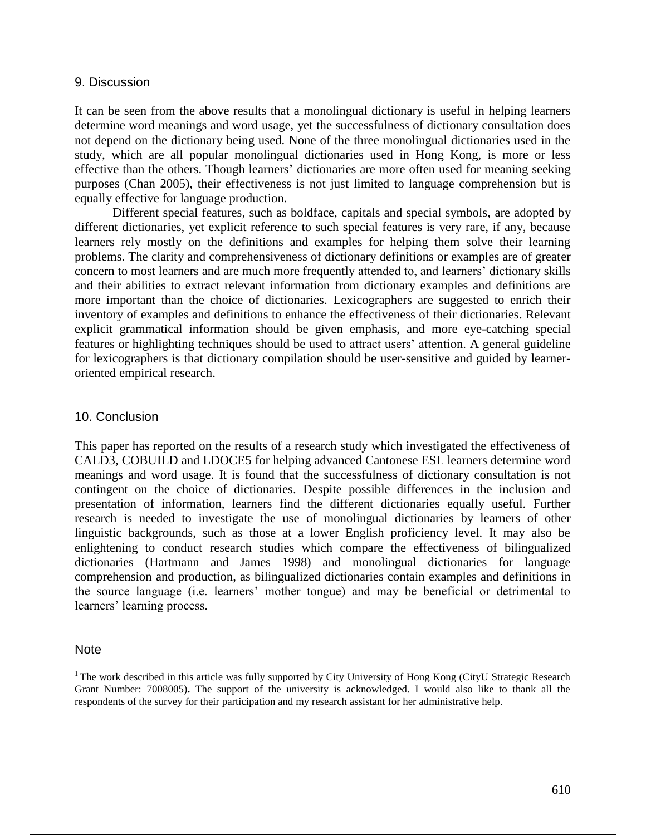#### 9. Discussion

It can be seen from the above results that a monolingual dictionary is useful in helping learners determine word meanings and word usage, yet the successfulness of dictionary consultation does not depend on the dictionary being used. None of the three monolingual dictionaries used in the study, which are all popular monolingual dictionaries used in Hong Kong, is more or less effective than the others. Though learners' dictionaries are more often used for meaning seeking purposes (Chan 2005), their effectiveness is not just limited to language comprehension but is equally effective for language production.

Different special features, such as boldface, capitals and special symbols, are adopted by different dictionaries, yet explicit reference to such special features is very rare, if any, because learners rely mostly on the definitions and examples for helping them solve their learning problems. The clarity and comprehensiveness of dictionary definitions or examples are of greater concern to most learners and are much more frequently attended to, and learners' dictionary skills and their abilities to extract relevant information from dictionary examples and definitions are more important than the choice of dictionaries. Lexicographers are suggested to enrich their inventory of examples and definitions to enhance the effectiveness of their dictionaries. Relevant explicit grammatical information should be given emphasis, and more eye-catching special features or highlighting techniques should be used to attract users' attention. A general guideline for lexicographers is that dictionary compilation should be user-sensitive and guided by learneroriented empirical research.

## 10. Conclusion

This paper has reported on the results of a research study which investigated the effectiveness of CALD3, COBUILD and LDOCE5 for helping advanced Cantonese ESL learners determine word meanings and word usage. It is found that the successfulness of dictionary consultation is not contingent on the choice of dictionaries. Despite possible differences in the inclusion and presentation of information, learners find the different dictionaries equally useful. Further research is needed to investigate the use of monolingual dictionaries by learners of other linguistic backgrounds, such as those at a lower English proficiency level. It may also be enlightening to conduct research studies which compare the effectiveness of bilingualized dictionaries (Hartmann and James 1998) and monolingual dictionaries for language comprehension and production, as bilingualized dictionaries contain examples and definitions in the source language (i.e. learners' mother tongue) and may be beneficial or detrimental to learners' learning process.

## **Note**

 $1$ The work described in this article was fully supported by City University of Hong Kong (CityU Strategic Research Grant Number: 7008005)**.** The support of the university is acknowledged. I would also like to thank all the respondents of the survey for their participation and my research assistant for her administrative help.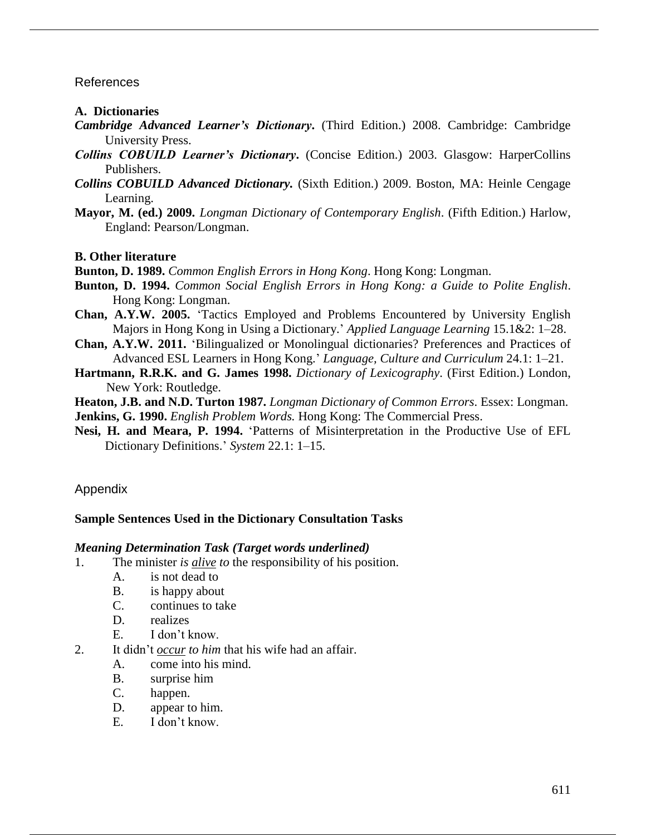## References

#### **A. Dictionaries**

- *Cambridge Advanced Learner's Dictionary***.** (Third Edition.) 2008. Cambridge: Cambridge University Press.
- *Collins COBUILD Learner's Dictionary***.** (Concise Edition.) 2003. Glasgow: HarperCollins Publishers.
- *Collins COBUILD Advanced Dictionary.* (Sixth Edition.) 2009. Boston, MA: Heinle Cengage Learning.
- **Mayor, M. (ed.) 2009.** *Longman Dictionary of Contemporary English*. (Fifth Edition.) Harlow, England: Pearson/Longman.

#### **B. Other literature**

**Bunton, D. 1989.** *Common English Errors in Hong Kong*. Hong Kong: Longman.

- **Bunton, D. 1994.** *Common Social English Errors in Hong Kong: a Guide to Polite English*. Hong Kong: Longman.
- **Chan, A.Y.W. 2005.** 'Tactics Employed and Problems Encountered by University English Majors in Hong Kong in Using a Dictionary.' *Applied Language Learning* 15.1&2: 1–28.
- **Chan, A.Y.W. 2011.** 'Bilingualized or Monolingual dictionaries? Preferences and Practices of Advanced ESL Learners in Hong Kong.' *Language, Culture and Curriculum* 24.1: 1–21.
- **Hartmann, R.R.K. and G. James 1998.** *Dictionary of Lexicography*. (First Edition.) London, New York: Routledge.
- **Heaton, J.B. and N.D. Turton 1987.** *Longman Dictionary of Common Errors*. Essex: Longman.

**Jenkins, G. 1990.** *English Problem Words.* Hong Kong: The Commercial Press.

**Nesi, H. and Meara, P. 1994.** 'Patterns of Misinterpretation in the Productive Use of EFL Dictionary Definitions.' *System* 22.1: 1–15.

## Appendix

## **Sample Sentences Used in the Dictionary Consultation Tasks**

#### *Meaning Determination Task (Target words underlined)*

- 1. The minister *is alive to* the responsibility of his position.
	- A. is not dead to
	- B. is happy about
	- C. continues to take
	- D. realizes
	- E. I don't know.
- 2. It didn't *occur to him* that his wife had an affair.
	- A. come into his mind.
	- B. surprise him
	- C. happen.
	- D. appear to him.
	- E. I don't know.